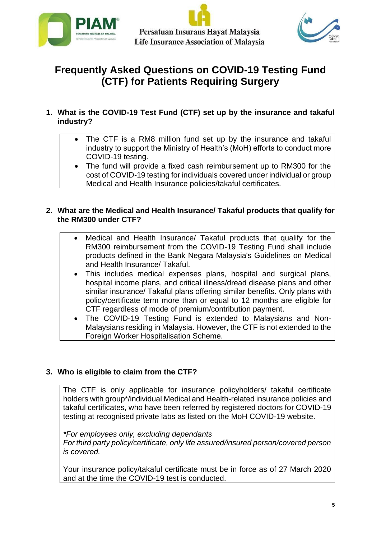





# **Frequently Asked Questions on COVID-19 Testing Fund (CTF) for Patients Requiring Surgery**

- **1. What is the COVID-19 Test Fund (CTF) set up by the insurance and takaful industry?**
	- The CTF is a RM8 million fund set up by the insurance and takaful industry to support the Ministry of Health's (MoH) efforts to conduct more COVID-19 testing.
	- The fund will provide a fixed cash reimbursement up to RM300 for the cost of COVID-19 testing for individuals covered under individual or group Medical and Health Insurance policies/takaful certificates.

# **2. What are the Medical and Health Insurance/ Takaful products that qualify for the RM300 under CTF?**

- Medical and Health Insurance/ Takaful products that qualify for the RM300 reimbursement from the COVID-19 Testing Fund shall include products defined in the Bank Negara Malaysia's Guidelines on Medical and Health Insurance/ Takaful.
- This includes medical expenses plans, hospital and surgical plans, hospital income plans, and critical illness/dread disease plans and other similar insurance/ Takaful plans offering similar benefits. Only plans with policy/certificate term more than or equal to 12 months are eligible for CTF regardless of mode of premium/contribution payment.
- The COVID-19 Testing Fund is extended to Malaysians and Non-Malaysians residing in Malaysia. However, the CTF is not extended to the Foreign Worker Hospitalisation Scheme.

# **3. Who is eligible to claim from the CTF?**

The CTF is only applicable for insurance policyholders/ takaful certificate holders with group\*/individual Medical and Health-related insurance policies and takaful certificates, who have been referred by registered doctors for COVID-19 testing at recognised private labs as listed on the MoH COVID-19 website.

*\*For employees only, excluding dependants For third party policy/certificate, only life assured/insured person/covered person is covered.*

Your insurance policy/takaful certificate must be in force as of 27 March 2020 and at the time the COVID-19 test is conducted.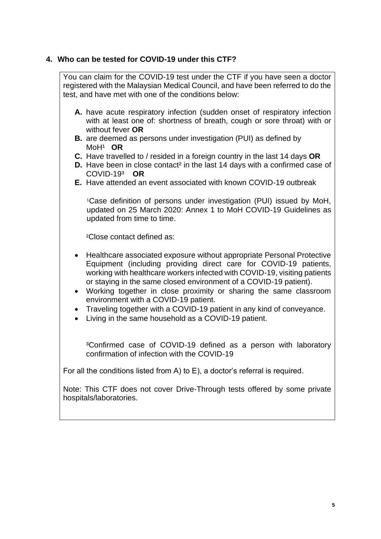# **4. Who can be tested for COVID-19 under this CTF?**

You can claim for the COVID-19 test under the CTF if you have seen a doctor registered with the Malaysian Medical Council, and have been referred to do the test, and have met with one of the conditions below: **A.** have acute respiratory infection (sudden onset of respiratory infection with at least one of: shortness of breath, cough or sore throat) with or without fever **OR B.** are deemed as persons under investigation (PUI) as defined by MoH<sup>1</sup> OR **C.** Have travelled to / resided in a foreign country in the last 14 days **OR D.** Have been in close contact<sup>2</sup> in the last 14 days with a confirmed case of COVID-19³ **OR E.** Have attended an event associated with known COVID-19 outbreak <sup>1</sup>Case definition of persons under investigation (PUI) issued by MoH, updated on 25 March 2020: Annex 1 to MoH COVID-19 Guidelines as updated from time to time. ²Close contact defined as: • Healthcare associated exposure without appropriate Personal Protective Equipment (including providing direct care for COVID-19 patients, working with healthcare workers infected with COVID-19, visiting patients or staying in the same closed environment of a COVID-19 patient). • Working together in close proximity or sharing the same classroom environment with a COVID-19 patient. • Traveling together with a COVID-19 patient in any kind of conveyance. • Living in the same household as a COVID-19 patient. ³Confirmed case of COVID-19 defined as a person with laboratory confirmation of infection with the COVID-19 For all the conditions listed from A) to E), a doctor's referral is required. Note: This CTF does not cover Drive-Through tests offered by some private hospitals/laboratories.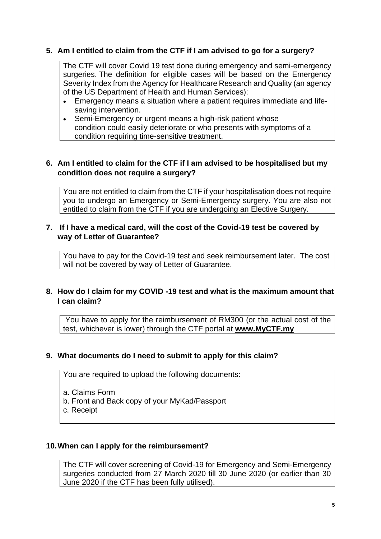# **5. Am I entitled to claim from the CTF if I am advised to go for a surgery?**

The CTF will cover Covid 19 test done during emergency and semi-emergency surgeries. The definition for eligible cases will be based on the Emergency Severity Index from the Agency for Healthcare Research and Quality (an agency of the US Department of Health and Human Services):

- Emergency means a situation where a patient requires immediate and lifesaving intervention.
- Semi-Emergency or urgent means a high-risk patient whose condition could easily deteriorate or who presents with symptoms of a condition requiring time-sensitive treatment.

## **6. Am I entitled to claim for the CTF if I am advised to be hospitalised but my condition does not require a surgery?**

You are not entitled to claim from the CTF if your hospitalisation does not require you to undergo an Emergency or Semi-Emergency surgery. You are also not entitled to claim from the CTF if you are undergoing an Elective Surgery.

#### **7. If I have a medical card, will the cost of the Covid-19 test be covered by way of Letter of Guarantee?**

You have to pay for the Covid-19 test and seek reimbursement later. The cost will not be covered by way of Letter of Guarantee.

## **8. How do I claim for my COVID -19 test and what is the maximum amount that I can claim?**

You have to apply for the reimbursement of RM300 (or the actual cost of the test, whichever is lower) through the CTF portal at **[www.M](http://www.myctf.org/)yCTF.my**

#### **9. What documents do I need to submit to apply for this claim?**

You are required to upload the following documents:

- a. Claims Form
- b. Front and Back copy of your MyKad/Passport
- c. Receipt

#### **10.When can I apply for the reimbursement?**

The CTF will cover screening of Covid-19 for Emergency and Semi-Emergency surgeries conducted from 27 March 2020 till 30 June 2020 (or earlier than 30 June 2020 if the CTF has been fully utilised).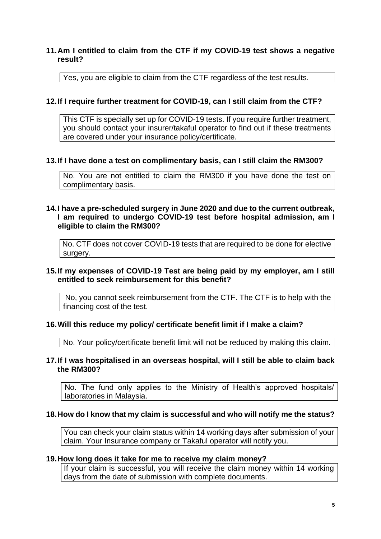## **11.Am I entitled to claim from the CTF if my COVID-19 test shows a negative result?**

Yes, you are eligible to claim from the CTF regardless of the test results.

## **12.If I require further treatment for COVID-19, can I still claim from the CTF?**

This CTF is specially set up for COVID-19 tests. If you require further treatment, you should contact your insurer/takaful operator to find out if these treatments are covered under your insurance policy/certificate.

#### **13.If I have done a test on complimentary basis, can I still claim the RM300?**

No. You are not entitled to claim the RM300 if you have done the test on complimentary basis.

#### **14.I have a pre-scheduled surgery in June 2020 and due to the current outbreak, I am required to undergo COVID-19 test before hospital admission, am I eligible to claim the RM300?**

No. CTF does not cover COVID-19 tests that are required to be done for elective surgery.

## **15.If my expenses of COVID-19 Test are being paid by my employer, am I still entitled to seek reimbursement for this benefit?**

No, you cannot seek reimbursement from the CTF. The CTF is to help with the financing cost of the test.

#### **16.Will this reduce my policy/ certificate benefit limit if I make a claim?**

No. Your policy/certificate benefit limit will not be reduced by making this claim.

#### **17.If I was hospitalised in an overseas hospital, will I still be able to claim back the RM300?**

No. The fund only applies to the Ministry of Health's approved hospitals/ laboratories in Malaysia.

#### **18.How do I know that my claim is successful and who will notify me the status?**

You can check your claim status within 14 working days after submission of your claim. Your Insurance company or Takaful operator will notify you.

#### **19.How long does it take for me to receive my claim money?**

If your claim is successful, you will receive the claim money within 14 working days from the date of submission with complete documents.